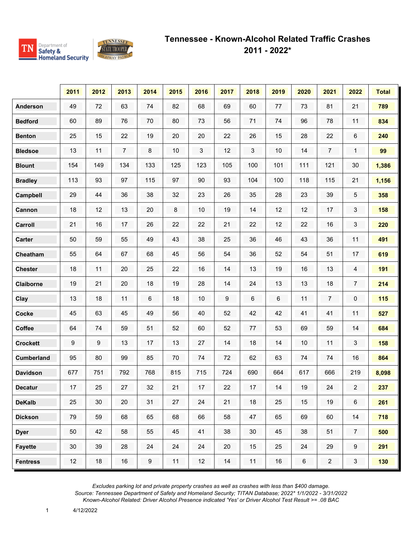

|                   | 2011 | 2012 | 2013           | 2014             | 2015 | 2016 | 2017 | 2018 | 2019 | 2020    | 2021           | 2022           | <b>Total</b> |
|-------------------|------|------|----------------|------------------|------|------|------|------|------|---------|----------------|----------------|--------------|
| <b>Anderson</b>   | 49   | 72   | 63             | 74               | 82   | 68   | 69   | 60   | 77   | 73      | 81             | 21             | 789          |
| <b>Bedford</b>    | 60   | 89   | 76             | 70               | 80   | 73   | 56   | 71   | 74   | 96      | 78             | 11             | 834          |
| <b>Benton</b>     | 25   | 15   | 22             | 19               | 20   | 20   | 22   | 26   | 15   | 28      | 22             | 6              | 240          |
| <b>Bledsoe</b>    | 13   | 11   | $\overline{7}$ | 8                | 10   | 3    | 12   | 3    | 10   | 14      | $\overline{7}$ | $\mathbf{1}$   | 99           |
| <b>Blount</b>     | 154  | 149  | 134            | 133              | 125  | 123  | 105  | 100  | 101  | 111     | 121            | 30             | 1,386        |
| <b>Bradley</b>    | 113  | 93   | 97             | 115              | 97   | 90   | 93   | 104  | 100  | 118     | 115            | 21             | 1,156        |
| Campbell          | 29   | 44   | 36             | 38               | 32   | 23   | 26   | 35   | 28   | 23      | 39             | 5              | 358          |
| Cannon            | 18   | 12   | 13             | 20               | 8    | 10   | 19   | 14   | 12   | 12      | 17             | 3              | 158          |
| Carroll           | 21   | 16   | 17             | 26               | 22   | 22   | 21   | 22   | 12   | 22      | 16             | 3              | 220          |
| <b>Carter</b>     | 50   | 59   | 55             | 49               | 43   | 38   | 25   | 36   | 46   | 43      | 36             | 11             | 491          |
| Cheatham          | 55   | 64   | 67             | 68               | 45   | 56   | 54   | 36   | 52   | 54      | 51             | 17             | 619          |
| <b>Chester</b>    | 18   | 11   | 20             | 25               | 22   | 16   | 14   | 13   | 19   | 16      | 13             | 4              | 191          |
| <b>Claiborne</b>  | 19   | 21   | $20\,$         | 18               | 19   | 28   | 14   | 24   | 13   | 13      | 18             | 7              | 214          |
| Clay              | 13   | 18   | 11             | $\,6$            | 18   | $10$ | 9    | 6    | 6    | 11      | $\overline{7}$ | 0              | 115          |
| <b>Cocke</b>      | 45   | 63   | 45             | 49               | 56   | 40   | 52   | 42   | 42   | 41      | 41             | 11             | 527          |
| Coffee            | 64   | 74   | 59             | 51               | 52   | 60   | 52   | 77   | 53   | 69      | 59             | 14             | 684          |
| <b>Crockett</b>   | 9    | 9    | 13             | 17               | 13   | 27   | 14   | 18   | 14   | $10\,$  | 11             | 3              | 158          |
| <b>Cumberland</b> | 95   | 80   | 99             | 85               | 70   | 74   | 72   | 62   | 63   | 74      | 74             | 16             | 864          |
| <b>Davidson</b>   | 677  | 751  | 792            | 768              | 815  | 715  | 724  | 690  | 664  | 617     | 666            | 219            | 8,098        |
| <b>Decatur</b>    | 17   | 25   | 27             | 32               | 21   | 17   | 22   | 17   | 14   | 19      | 24             | $\overline{2}$ | 237          |
| <b>DeKalb</b>     | 25   | 30   | 20             | 31               | 27   | 24   | 21   | 18   | 25   | 15      | 19             | 6              | 261          |
| <b>Dickson</b>    | 79   | 59   | 68             | 65               | 68   | 66   | 58   | 47   | 65   | 69      | 60             | 14             | 718          |
| <b>Dyer</b>       | 50   | 42   | 58             | 55               | 45   | 41   | 38   | 30   | 45   | 38      | 51             | $\overline{7}$ | 500          |
| <b>Fayette</b>    | 30   | 39   | 28             | 24               | 24   | 24   | 20   | 15   | 25   | 24      | 29             | 9              | 291          |
| <b>Fentress</b>   | 12   | 18   | 16             | $\boldsymbol{9}$ | 11   | 12   | 14   | 11   | 16   | $\,6\,$ | $\overline{2}$ | 3              | 130          |

1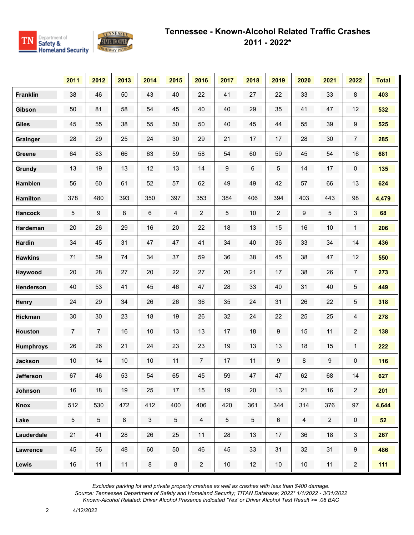

|                  | 2011           | 2012            | 2013 | 2014         | 2015            | 2016             | 2017            | 2018           | 2019             | 2020           | 2021           | 2022                | <b>Total</b> |
|------------------|----------------|-----------------|------|--------------|-----------------|------------------|-----------------|----------------|------------------|----------------|----------------|---------------------|--------------|
| <b>Franklin</b>  | 38             | 46              | 50   | 43           | 40              | 22               | 41              | 27             | 22               | 33             | 33             | 8                   | 403          |
| Gibson           | 50             | 81              | 58   | 54           | 45              | 40               | 40              | 29             | 35               | 41             | 47             | 12                  | 532          |
| <b>Giles</b>     | 45             | 55              | 38   | 55           | 50              | 50               | 40              | 45             | 44               | 55             | 39             | 9                   | 525          |
| Grainger         | 28             | 29              | 25   | 24           | 30              | 29               | 21              | 17             | 17               | 28             | 30             | $\overline{7}$      | 285          |
| Greene           | 64             | 83              | 66   | 63           | 59              | 58               | 54              | 60             | 59               | 45             | 54             | 16                  | 681          |
| <b>Grundy</b>    | 13             | 19              | 13   | 12           | 13              | 14               | 9               | 6              | 5                | 14             | 17             | 0                   | 135          |
| <b>Hamblen</b>   | 56             | 60              | 61   | 52           | 57              | 62               | 49              | 49             | 42               | 57             | 66             | 13                  | 624          |
| <b>Hamilton</b>  | 378            | 480             | 393  | 350          | 397             | 353              | 384             | 406            | 394              | 403            | 443            | 98                  | 4,479        |
| <b>Hancock</b>   | 5              | 9               | 8    | 6            | 4               | $\boldsymbol{2}$ | 5               | $10$           | 2                | 9              | 5              | 3                   | 68           |
| <b>Hardeman</b>  | 20             | 26              | 29   | 16           | 20              | 22               | 18              | 13             | 15               | 16             | $10$           | $\mathbf{1}$        | 206          |
| <b>Hardin</b>    | 34             | 45              | 31   | 47           | 47              | 41               | 34              | 40             | 36               | 33             | 34             | 14                  | 436          |
| <b>Hawkins</b>   | 71             | 59              | 74   | 34           | 37              | 59               | 36              | 38             | 45               | 38             | 47             | 12                  | 550          |
| Haywood          | 20             | 28              | 27   | 20           | 22              | 27               | 20              | 21             | 17               | 38             | 26             | $\overline{7}$      | 273          |
| <b>Henderson</b> | 40             | 53              | 41   | 45           | 46              | 47               | 28              | 33             | 40               | 31             | 40             | 5                   | 449          |
| <b>Henry</b>     | 24             | 29              | 34   | 26           | 26              | 36               | 35              | 24             | 31               | 26             | 22             | 5                   | 318          |
| <b>Hickman</b>   | 30             | 30              | 23   | 18           | 19              | 26               | 32              | 24             | 22               | 25             | 25             | 4                   | 278          |
| <b>Houston</b>   | $\overline{7}$ | $\overline{7}$  | 16   | $10$         | 13              | 13               | 17              | 18             | 9                | 15             | 11             | $\overline{c}$      | 138          |
| <b>Humphreys</b> | 26             | 26              | 21   | 24           | 23              | 23               | 19              | 13             | 13               | 18             | 15             | $\mathbf{1}$        | 222          |
| <b>Jackson</b>   | $10$           | 14              | $10$ | 10           | 11              | $\overline{7}$   | 17              | 11             | $\boldsymbol{9}$ | $\bf 8$        | 9              | 0                   | 116          |
| <b>Jefferson</b> | 67             | 46              | 53   | 54           | 65              | 45               | 59              | 47             | 47               | 62             | 68             | 14                  | 627          |
| Johnson          | 16             | 18              | 19   | 25           | 17              | 15               | 19              | 20             | 13               | 21             | 16             | $\overline{2}$      | 201          |
| Knox             | 512            | 530             | 472  | 412          | 400             | 406              | 420             | 361            | 344              | 314            | 376            | 97                  | 4,644        |
| Lake             | 5 <sub>5</sub> | $5\phantom{.0}$ | 8    | $\mathbf{3}$ | $5\phantom{.0}$ | $\overline{4}$   | $5\phantom{.0}$ | $\overline{5}$ | $\,6\,$          | $\overline{4}$ | $\overline{2}$ | $\mathsf{O}\xspace$ | 52           |
| Lauderdale       | 21             | 41              | 28   | 26           | 25              | 11               | 28              | 13             | 17               | 36             | 18             | $\mathfrak{S}$      | 267          |
| <b>Lawrence</b>  | 45             | 56              | 48   | 60           | 50              | 46               | 45              | 33             | 31               | 32             | 31             | 9                   | 486          |
| Lewis            | 16             | 11              | 11   | $\bf 8$      | $\bf 8$         | $\overline{2}$   | 10 <sub>1</sub> | 12             | 10 <sub>1</sub>  | 10             | 11             | $\overline{2}$      | $111$        |

2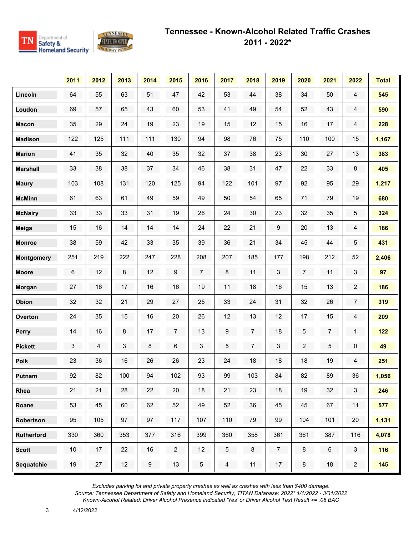

|                   | 2011 | 2012 | 2013    | 2014    | 2015           | 2016           | 2017            | 2018           | 2019           | 2020           | 2021           | 2022           | <b>Total</b> |
|-------------------|------|------|---------|---------|----------------|----------------|-----------------|----------------|----------------|----------------|----------------|----------------|--------------|
| Lincoln           | 64   | 55   | 63      | 51      | 47             | 42             | 53              | 44             | 38             | 34             | 50             | 4              | 545          |
| Loudon            | 69   | 57   | 65      | 43      | 60             | 53             | 41              | 49             | 54             | 52             | 43             | 4              | 590          |
| <b>Macon</b>      | 35   | 29   | 24      | 19      | 23             | 19             | 15              | 12             | 15             | 16             | 17             | 4              | 228          |
| <b>Madison</b>    | 122  | 125  | 111     | 111     | 130            | 94             | 98              | 76             | 75             | 110            | 100            | 15             | 1,167        |
| <b>Marion</b>     | 41   | 35   | 32      | 40      | 35             | 32             | 37              | 38             | 23             | 30             | 27             | 13             | 383          |
| <b>Marshall</b>   | 33   | 38   | 38      | 37      | 34             | 46             | 38              | 31             | 47             | 22             | 33             | 8              | 405          |
| <b>Maury</b>      | 103  | 108  | 131     | 120     | 125            | 94             | 122             | 101            | 97             | 92             | 95             | 29             | 1,217        |
| <b>McMinn</b>     | 61   | 63   | 61      | 49      | 59             | 49             | 50              | 54             | 65             | 71             | 79             | 19             | 680          |
| <b>McNairy</b>    | 33   | 33   | 33      | 31      | 19             | 26             | 24              | 30             | 23             | 32             | 35             | 5              | 324          |
| <b>Meigs</b>      | 15   | 16   | 14      | 14      | 14             | 24             | 22              | 21             | 9              | 20             | 13             | 4              | 186          |
| <b>Monroe</b>     | 38   | 59   | 42      | 33      | 35             | 39             | 36              | 21             | 34             | 45             | 44             | 5              | 431          |
| <b>Montgomery</b> | 251  | 219  | 222     | 247     | 228            | 208            | 207             | 185            | 177            | 198            | 212            | 52             | 2,406        |
| <b>Moore</b>      | 6    | 12   | 8       | 12      | 9              | $\overline{7}$ | 8               | 11             | 3              | $\overline{7}$ | 11             | 3              | 97           |
| <b>Morgan</b>     | 27   | 16   | 17      | 16      | 16             | 19             | 11              | 18             | 16             | 15             | 13             | $\overline{c}$ | 186          |
| Obion             | 32   | 32   | 21      | 29      | 27             | 25             | 33              | 24             | 31             | 32             | 26             | $\overline{7}$ | 319          |
| <b>Overton</b>    | 24   | 35   | 15      | 16      | 20             | 26             | 12              | 13             | 12             | 17             | 15             | 4              | 209          |
| Perry             | 14   | 16   | $\bf 8$ | 17      | $\overline{7}$ | 13             | 9               | $\overline{7}$ | 18             | 5              | $\overline{7}$ | $\mathbf{1}$   | $122$        |
| <b>Pickett</b>    | 3    | 4    | 3       | $\bf 8$ | 6              | 3              | 5               | $\overline{7}$ | 3              | $\overline{2}$ | 5              | 0              | 49           |
| <b>Polk</b>       | 23   | 36   | 16      | 26      | 26             | 23             | 24              | 18             | 18             | 18             | 19             | 4              | 251          |
| Putnam            | 92   | 82   | 100     | 94      | 102            | 93             | 99              | 103            | 84             | 82             | 89             | 36             | 1,056        |
| Rhea              | 21   | 21   | 28      | 22      | 20             | 18             | 21              | 23             | 18             | 19             | 32             | $\mathbf{3}$   | 246          |
| Roane             | 53   | 45   | 60      | 62      | 52             | 49             | 52              | 36             | 45             | 45             | 67             | 11             | 577          |
| Robertson         | 95   | 105  | 97      | 97      | 117            | 107            | 110             | 79             | 99             | 104            | 101            | 20             | 1,131        |
| <b>Rutherford</b> | 330  | 360  | 353     | 377     | 316            | 399            | 360             | 358            | 361            | 361            | 387            | 116            | 4,078        |
| <b>Scott</b>      | 10   | 17   | 22      | 16      | $\overline{2}$ | 12             | $5\phantom{.0}$ | 8              | $\overline{7}$ | $\bf 8$        | $\,6\,$        | $\mathbf{3}$   | 116          |
| Sequatchie        | 19   | 27   | 12      | $9\,$   | 13             | $5\,$          | $\overline{4}$  | 11             | 17             | $\bf 8$        | 18             | $\overline{a}$ | 145          |